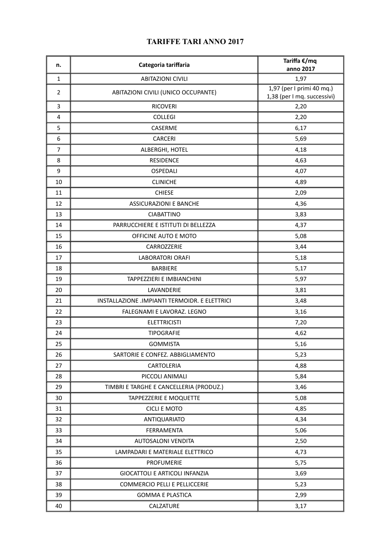| n.               | Categoria tariffaria                          | Tariffa €/mq<br>anno 2017                                |
|------------------|-----------------------------------------------|----------------------------------------------------------|
| $\mathbf{1}$     | <b>ABITAZIONI CIVILI</b>                      | 1,97                                                     |
| $\overline{2}$   | ABITAZIONI CIVILI (UNICO OCCUPANTE)           | 1,97 (per I primi 40 mq.)<br>1,38 (per I mq. successivi) |
| 3                | <b>RICOVERI</b>                               | 2,20                                                     |
| 4                | <b>COLLEGI</b>                                | 2,20                                                     |
| 5                | CASERME                                       | 6,17                                                     |
| $\boldsymbol{6}$ | <b>CARCERI</b>                                | 5,69                                                     |
| $\overline{7}$   | ALBERGHI, HOTEL                               | 4,18                                                     |
| 8                | <b>RESIDENCE</b>                              | 4,63                                                     |
| 9                | OSPEDALI                                      | 4,07                                                     |
| 10               | <b>CLINICHE</b>                               | 4,89                                                     |
| 11               | <b>CHIESE</b>                                 | 2,09                                                     |
| 12               | <b>ASSICURAZIONI E BANCHE</b>                 | 4,36                                                     |
| 13               | <b>CIABATTINO</b>                             | 3,83                                                     |
| 14               | PARRUCCHIERE E ISTITUTI DI BELLEZZA           | 4,37                                                     |
| 15               | OFFICINE AUTO E MOTO                          | 5,08                                                     |
| 16               | CARROZZERIE                                   | 3,44                                                     |
| 17               | <b>LABORATORI ORAFI</b>                       | 5,18                                                     |
| 18               | <b>BARBIERE</b>                               | 5,17                                                     |
| 19               | TAPPEZZIERI E IMBIANCHINI                     | 5,97                                                     |
| 20               | LAVANDERIE                                    | 3,81                                                     |
| 21               | INSTALLAZIONE .IMPIANTI TERMOIDR. E ELETTRICI | 3,48                                                     |
| 22               | FALEGNAMI E LAVORAZ. LEGNO                    | 3,16                                                     |
| 23               | <b>ELETTRICISTI</b>                           | 7,20                                                     |
| 24               | <b>TIPOGRAFIE</b>                             | 4,62                                                     |
| 25               | <b>GOMMISTA</b>                               | 5,16                                                     |
| 26               | SARTORIE E CONFEZ. ABBIGLIAMENTO              | 5,23                                                     |
| 27               | CARTOLERIA                                    | 4,88                                                     |
| 28               | PICCOLI ANIMALI                               | 5,84                                                     |
| 29               | TIMBRI E TARGHE E CANCELLERIA (PRODUZ.)       | 3,46                                                     |
| 30               | <b>TAPPEZZERIE E MOQUETTE</b>                 | 5,08                                                     |
| 31               | <b>CICLI E MOTO</b>                           | 4,85                                                     |
| 32               | ANTIQUARIATO                                  | 4,34                                                     |
| 33               | FERRAMENTA                                    | 5,06                                                     |
| 34               | AUTOSALONI VENDITA                            | 2,50                                                     |
| 35               | LAMPADARI E MATERIALE ELETTRICO               | 4,73                                                     |
| 36               | PROFUMERIE                                    | 5,75                                                     |
| 37               | <b>GIOCATTOLI E ARTICOLI INFANZIA</b>         | 3,69                                                     |
| 38               | <b>COMMERCIO PELLI E PELLICCERIE</b>          | 5,23                                                     |
| 39               | <b>GOMMA E PLASTICA</b>                       | 2,99                                                     |
| 40               | CALZATURE                                     | 3,17                                                     |

## **TARIFFE TARI ANNO 2017**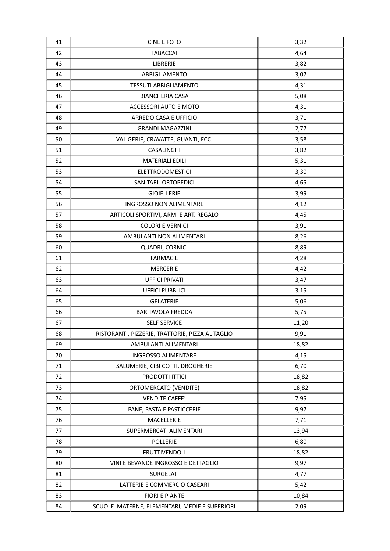| 42<br>4,64<br><b>TABACCAI</b><br>LIBRERIE<br>43<br>3,82<br>44<br>ABBIGLIAMENTO<br>3,07<br><b>TESSUTI ABBIGLIAMENTO</b><br>4,31<br>45<br>46<br><b>BIANCHERIA CASA</b><br>5,08<br>4,31<br>47<br>ACCESSORI AUTO E MOTO<br>48<br>ARREDO CASA E UFFICIO<br>3,71<br>49<br><b>GRANDI MAGAZZINI</b><br>2,77<br>50<br>VALIGERIE, CRAVATTE, GUANTI, ECC.<br>3,58<br>51<br>CASALINGHI<br>3,82<br>52<br><b>MATERIALI EDILI</b><br>5,31<br>53<br><b>ELETTRODOMESTICI</b><br>3,30<br>54<br>SANITARI - ORTOPEDICI<br>4,65<br>55<br>3,99<br><b>GIOIELLERIE</b><br>56<br><b>INGROSSO NON ALIMENTARE</b><br>4,12<br>57<br>4,45<br>ARTICOLI SPORTIVI, ARMI E ART. REGALO<br><b>COLORI E VERNICI</b><br>58<br>3,91<br>59<br>AMBULANTI NON ALIMENTARI<br>8,26<br>60<br>8,89<br>QUADRI, CORNICI<br>61<br><b>FARMACIE</b><br>4,28<br>62<br>4,42<br><b>MERCERIE</b><br>63<br><b>UFFICI PRIVATI</b><br>3,47<br>64<br><b>UFFICI PUBBLICI</b><br>3,15<br>65<br><b>GELATERIE</b><br>5,06<br>66<br><b>BAR TAVOLA FREDDA</b><br>5,75<br>67<br><b>SELF SERVICE</b><br>11,20<br>68<br>RISTORANTI, PIZZERIE, TRATTORIE, PIZZA AL TAGLIO<br>9,91<br>AMBULANTI ALIMENTARI<br>18,82<br>69<br>70<br><b>INGROSSO ALIMENTARE</b><br>4,15<br>SALUMERIE, CIBI COTTI, DROGHERIE<br>71<br>6,70<br>PRODOTTI ITTICI<br>72<br>18,82<br>73<br>ORTOMERCATO (VENDITE)<br>18,82<br>74<br><b>VENDITE CAFFE'</b><br>7,95<br>75<br>9,97<br>PANE, PASTA E PASTICCERIE<br>76<br>MACELLERIE<br>7,71<br>77<br>SUPERMERCATI ALIMENTARI<br>13,94<br>78<br>POLLERIE<br>6,80<br>79<br>18,82<br><b>FRUTTIVENDOLI</b><br>80<br>VINI E BEVANDE INGROSSO E DETTAGLIO<br>9,97<br>81<br>SURGELATI<br>4,77<br>82<br>LATTERIE E COMMERCIO CASEARI<br>5,42<br>83<br><b>FIORI E PIANTE</b><br>10,84<br>84<br>SCUOLE MATERNE, ELEMENTARI, MEDIE E SUPERIORI<br>2,09 | 41 | <b>CINE E FOTO</b> | 3,32 |
|---------------------------------------------------------------------------------------------------------------------------------------------------------------------------------------------------------------------------------------------------------------------------------------------------------------------------------------------------------------------------------------------------------------------------------------------------------------------------------------------------------------------------------------------------------------------------------------------------------------------------------------------------------------------------------------------------------------------------------------------------------------------------------------------------------------------------------------------------------------------------------------------------------------------------------------------------------------------------------------------------------------------------------------------------------------------------------------------------------------------------------------------------------------------------------------------------------------------------------------------------------------------------------------------------------------------------------------------------------------------------------------------------------------------------------------------------------------------------------------------------------------------------------------------------------------------------------------------------------------------------------------------------------------------------------------------------------------------------------------------------------------------------------------------|----|--------------------|------|
|                                                                                                                                                                                                                                                                                                                                                                                                                                                                                                                                                                                                                                                                                                                                                                                                                                                                                                                                                                                                                                                                                                                                                                                                                                                                                                                                                                                                                                                                                                                                                                                                                                                                                                                                                                                             |    |                    |      |
|                                                                                                                                                                                                                                                                                                                                                                                                                                                                                                                                                                                                                                                                                                                                                                                                                                                                                                                                                                                                                                                                                                                                                                                                                                                                                                                                                                                                                                                                                                                                                                                                                                                                                                                                                                                             |    |                    |      |
|                                                                                                                                                                                                                                                                                                                                                                                                                                                                                                                                                                                                                                                                                                                                                                                                                                                                                                                                                                                                                                                                                                                                                                                                                                                                                                                                                                                                                                                                                                                                                                                                                                                                                                                                                                                             |    |                    |      |
|                                                                                                                                                                                                                                                                                                                                                                                                                                                                                                                                                                                                                                                                                                                                                                                                                                                                                                                                                                                                                                                                                                                                                                                                                                                                                                                                                                                                                                                                                                                                                                                                                                                                                                                                                                                             |    |                    |      |
|                                                                                                                                                                                                                                                                                                                                                                                                                                                                                                                                                                                                                                                                                                                                                                                                                                                                                                                                                                                                                                                                                                                                                                                                                                                                                                                                                                                                                                                                                                                                                                                                                                                                                                                                                                                             |    |                    |      |
|                                                                                                                                                                                                                                                                                                                                                                                                                                                                                                                                                                                                                                                                                                                                                                                                                                                                                                                                                                                                                                                                                                                                                                                                                                                                                                                                                                                                                                                                                                                                                                                                                                                                                                                                                                                             |    |                    |      |
|                                                                                                                                                                                                                                                                                                                                                                                                                                                                                                                                                                                                                                                                                                                                                                                                                                                                                                                                                                                                                                                                                                                                                                                                                                                                                                                                                                                                                                                                                                                                                                                                                                                                                                                                                                                             |    |                    |      |
|                                                                                                                                                                                                                                                                                                                                                                                                                                                                                                                                                                                                                                                                                                                                                                                                                                                                                                                                                                                                                                                                                                                                                                                                                                                                                                                                                                                                                                                                                                                                                                                                                                                                                                                                                                                             |    |                    |      |
|                                                                                                                                                                                                                                                                                                                                                                                                                                                                                                                                                                                                                                                                                                                                                                                                                                                                                                                                                                                                                                                                                                                                                                                                                                                                                                                                                                                                                                                                                                                                                                                                                                                                                                                                                                                             |    |                    |      |
|                                                                                                                                                                                                                                                                                                                                                                                                                                                                                                                                                                                                                                                                                                                                                                                                                                                                                                                                                                                                                                                                                                                                                                                                                                                                                                                                                                                                                                                                                                                                                                                                                                                                                                                                                                                             |    |                    |      |
|                                                                                                                                                                                                                                                                                                                                                                                                                                                                                                                                                                                                                                                                                                                                                                                                                                                                                                                                                                                                                                                                                                                                                                                                                                                                                                                                                                                                                                                                                                                                                                                                                                                                                                                                                                                             |    |                    |      |
|                                                                                                                                                                                                                                                                                                                                                                                                                                                                                                                                                                                                                                                                                                                                                                                                                                                                                                                                                                                                                                                                                                                                                                                                                                                                                                                                                                                                                                                                                                                                                                                                                                                                                                                                                                                             |    |                    |      |
|                                                                                                                                                                                                                                                                                                                                                                                                                                                                                                                                                                                                                                                                                                                                                                                                                                                                                                                                                                                                                                                                                                                                                                                                                                                                                                                                                                                                                                                                                                                                                                                                                                                                                                                                                                                             |    |                    |      |
|                                                                                                                                                                                                                                                                                                                                                                                                                                                                                                                                                                                                                                                                                                                                                                                                                                                                                                                                                                                                                                                                                                                                                                                                                                                                                                                                                                                                                                                                                                                                                                                                                                                                                                                                                                                             |    |                    |      |
|                                                                                                                                                                                                                                                                                                                                                                                                                                                                                                                                                                                                                                                                                                                                                                                                                                                                                                                                                                                                                                                                                                                                                                                                                                                                                                                                                                                                                                                                                                                                                                                                                                                                                                                                                                                             |    |                    |      |
|                                                                                                                                                                                                                                                                                                                                                                                                                                                                                                                                                                                                                                                                                                                                                                                                                                                                                                                                                                                                                                                                                                                                                                                                                                                                                                                                                                                                                                                                                                                                                                                                                                                                                                                                                                                             |    |                    |      |
|                                                                                                                                                                                                                                                                                                                                                                                                                                                                                                                                                                                                                                                                                                                                                                                                                                                                                                                                                                                                                                                                                                                                                                                                                                                                                                                                                                                                                                                                                                                                                                                                                                                                                                                                                                                             |    |                    |      |
|                                                                                                                                                                                                                                                                                                                                                                                                                                                                                                                                                                                                                                                                                                                                                                                                                                                                                                                                                                                                                                                                                                                                                                                                                                                                                                                                                                                                                                                                                                                                                                                                                                                                                                                                                                                             |    |                    |      |
|                                                                                                                                                                                                                                                                                                                                                                                                                                                                                                                                                                                                                                                                                                                                                                                                                                                                                                                                                                                                                                                                                                                                                                                                                                                                                                                                                                                                                                                                                                                                                                                                                                                                                                                                                                                             |    |                    |      |
|                                                                                                                                                                                                                                                                                                                                                                                                                                                                                                                                                                                                                                                                                                                                                                                                                                                                                                                                                                                                                                                                                                                                                                                                                                                                                                                                                                                                                                                                                                                                                                                                                                                                                                                                                                                             |    |                    |      |
|                                                                                                                                                                                                                                                                                                                                                                                                                                                                                                                                                                                                                                                                                                                                                                                                                                                                                                                                                                                                                                                                                                                                                                                                                                                                                                                                                                                                                                                                                                                                                                                                                                                                                                                                                                                             |    |                    |      |
|                                                                                                                                                                                                                                                                                                                                                                                                                                                                                                                                                                                                                                                                                                                                                                                                                                                                                                                                                                                                                                                                                                                                                                                                                                                                                                                                                                                                                                                                                                                                                                                                                                                                                                                                                                                             |    |                    |      |
|                                                                                                                                                                                                                                                                                                                                                                                                                                                                                                                                                                                                                                                                                                                                                                                                                                                                                                                                                                                                                                                                                                                                                                                                                                                                                                                                                                                                                                                                                                                                                                                                                                                                                                                                                                                             |    |                    |      |
|                                                                                                                                                                                                                                                                                                                                                                                                                                                                                                                                                                                                                                                                                                                                                                                                                                                                                                                                                                                                                                                                                                                                                                                                                                                                                                                                                                                                                                                                                                                                                                                                                                                                                                                                                                                             |    |                    |      |
|                                                                                                                                                                                                                                                                                                                                                                                                                                                                                                                                                                                                                                                                                                                                                                                                                                                                                                                                                                                                                                                                                                                                                                                                                                                                                                                                                                                                                                                                                                                                                                                                                                                                                                                                                                                             |    |                    |      |
|                                                                                                                                                                                                                                                                                                                                                                                                                                                                                                                                                                                                                                                                                                                                                                                                                                                                                                                                                                                                                                                                                                                                                                                                                                                                                                                                                                                                                                                                                                                                                                                                                                                                                                                                                                                             |    |                    |      |
|                                                                                                                                                                                                                                                                                                                                                                                                                                                                                                                                                                                                                                                                                                                                                                                                                                                                                                                                                                                                                                                                                                                                                                                                                                                                                                                                                                                                                                                                                                                                                                                                                                                                                                                                                                                             |    |                    |      |
|                                                                                                                                                                                                                                                                                                                                                                                                                                                                                                                                                                                                                                                                                                                                                                                                                                                                                                                                                                                                                                                                                                                                                                                                                                                                                                                                                                                                                                                                                                                                                                                                                                                                                                                                                                                             |    |                    |      |
|                                                                                                                                                                                                                                                                                                                                                                                                                                                                                                                                                                                                                                                                                                                                                                                                                                                                                                                                                                                                                                                                                                                                                                                                                                                                                                                                                                                                                                                                                                                                                                                                                                                                                                                                                                                             |    |                    |      |
|                                                                                                                                                                                                                                                                                                                                                                                                                                                                                                                                                                                                                                                                                                                                                                                                                                                                                                                                                                                                                                                                                                                                                                                                                                                                                                                                                                                                                                                                                                                                                                                                                                                                                                                                                                                             |    |                    |      |
|                                                                                                                                                                                                                                                                                                                                                                                                                                                                                                                                                                                                                                                                                                                                                                                                                                                                                                                                                                                                                                                                                                                                                                                                                                                                                                                                                                                                                                                                                                                                                                                                                                                                                                                                                                                             |    |                    |      |
|                                                                                                                                                                                                                                                                                                                                                                                                                                                                                                                                                                                                                                                                                                                                                                                                                                                                                                                                                                                                                                                                                                                                                                                                                                                                                                                                                                                                                                                                                                                                                                                                                                                                                                                                                                                             |    |                    |      |
|                                                                                                                                                                                                                                                                                                                                                                                                                                                                                                                                                                                                                                                                                                                                                                                                                                                                                                                                                                                                                                                                                                                                                                                                                                                                                                                                                                                                                                                                                                                                                                                                                                                                                                                                                                                             |    |                    |      |
|                                                                                                                                                                                                                                                                                                                                                                                                                                                                                                                                                                                                                                                                                                                                                                                                                                                                                                                                                                                                                                                                                                                                                                                                                                                                                                                                                                                                                                                                                                                                                                                                                                                                                                                                                                                             |    |                    |      |
|                                                                                                                                                                                                                                                                                                                                                                                                                                                                                                                                                                                                                                                                                                                                                                                                                                                                                                                                                                                                                                                                                                                                                                                                                                                                                                                                                                                                                                                                                                                                                                                                                                                                                                                                                                                             |    |                    |      |
|                                                                                                                                                                                                                                                                                                                                                                                                                                                                                                                                                                                                                                                                                                                                                                                                                                                                                                                                                                                                                                                                                                                                                                                                                                                                                                                                                                                                                                                                                                                                                                                                                                                                                                                                                                                             |    |                    |      |
|                                                                                                                                                                                                                                                                                                                                                                                                                                                                                                                                                                                                                                                                                                                                                                                                                                                                                                                                                                                                                                                                                                                                                                                                                                                                                                                                                                                                                                                                                                                                                                                                                                                                                                                                                                                             |    |                    |      |
|                                                                                                                                                                                                                                                                                                                                                                                                                                                                                                                                                                                                                                                                                                                                                                                                                                                                                                                                                                                                                                                                                                                                                                                                                                                                                                                                                                                                                                                                                                                                                                                                                                                                                                                                                                                             |    |                    |      |
|                                                                                                                                                                                                                                                                                                                                                                                                                                                                                                                                                                                                                                                                                                                                                                                                                                                                                                                                                                                                                                                                                                                                                                                                                                                                                                                                                                                                                                                                                                                                                                                                                                                                                                                                                                                             |    |                    |      |
|                                                                                                                                                                                                                                                                                                                                                                                                                                                                                                                                                                                                                                                                                                                                                                                                                                                                                                                                                                                                                                                                                                                                                                                                                                                                                                                                                                                                                                                                                                                                                                                                                                                                                                                                                                                             |    |                    |      |
|                                                                                                                                                                                                                                                                                                                                                                                                                                                                                                                                                                                                                                                                                                                                                                                                                                                                                                                                                                                                                                                                                                                                                                                                                                                                                                                                                                                                                                                                                                                                                                                                                                                                                                                                                                                             |    |                    |      |
|                                                                                                                                                                                                                                                                                                                                                                                                                                                                                                                                                                                                                                                                                                                                                                                                                                                                                                                                                                                                                                                                                                                                                                                                                                                                                                                                                                                                                                                                                                                                                                                                                                                                                                                                                                                             |    |                    |      |
|                                                                                                                                                                                                                                                                                                                                                                                                                                                                                                                                                                                                                                                                                                                                                                                                                                                                                                                                                                                                                                                                                                                                                                                                                                                                                                                                                                                                                                                                                                                                                                                                                                                                                                                                                                                             |    |                    |      |